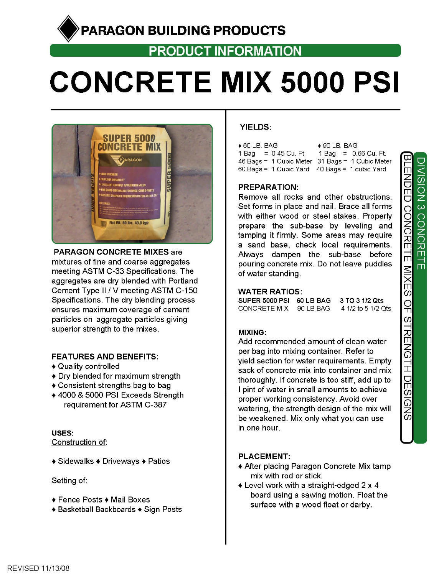## PARAGON BUILDING PRODUCTS

## **PRODUCT INFORMATION**

# **CONCRETE MIX 5000 PSI**



**PARAGON CONCRETE MIXES are** mixtures of fine and coarse aggregates meeting ASTM C-33 Specifications. The aggregates are dry blended with Portland Cement Type II / V meeting ASTM C-150 Specifications. The dry blending process ensures maximum coverage of cement particles on aggregate particles giving superior strength to the mixes.

#### **FEATURES AND BENEFITS:**

- ♦ Quality controlled
- Dry blended for maximum strength
- ♦ Consistent strengths bag to bag
- ◆ 4000 & 5000 PSI Exceeds Strength requirement for ASTM C-387

#### USES:

Construction of:

◆ Sidewalks ◆ Driveways ◆ Patios

#### Setting of:

- ◆ Fence Posts ◆ Mail Boxes
- ♦ Basketball Backboards ♦ Sign Posts

#### **YIELDS:**

| $\bullet$ 60 LB. BAG                            | $\bullet$ 90 LB. BAG   |  |  |  |  |
|-------------------------------------------------|------------------------|--|--|--|--|
| 1 Bag = $0.45$ Cu, Ft.                          | 1 Bag = $0.66$ Cu. Ft. |  |  |  |  |
| 46 Bags = 1 Cubic Meter 31 Bags = 1 Cubic Meter |                        |  |  |  |  |
| 60 Bags = 1 Cubic Yard 40 Bags = 1 cubic Yard   |                        |  |  |  |  |

#### **PREPARATION:**

Remove all rocks and other obstructions. Set forms in place and nail. Brace all forms with either wood or steel stakes. Properly prepare the sub-base by leveling and tamping it firmly. Some areas may require a sand base, check local requirements. Always dampen the sub-base before pouring concrete mix. Do not leave puddles of water standing.

#### **WATER RATIOS:**

SUPER 5000 PSI 60 LB BAG 3 TO 3 1/2 Qts CONCRETE MIX 90 LB BAG 4 1/2 to 5 1/2 Qts

#### MIXING:

Add recommended amount of clean water per bag into mixing container. Refer to vield section for water requirements. Empty sack of concrete mix into container and mix thoroughly. If concrete is too stiff, add up to I pint of water in small amounts to achieve proper working consistency. Avoid over watering, the strength design of the mix will be weakened. Mix only what you can use in one hour.

#### **PLACEMENT:**

- ♦ After placing Paragon Concrete Mix tamp mix with rod or stick.
- ♦ Level work with a straight-edged 2 x 4 board using a sawing motion. Float the surface with a wood float or darby.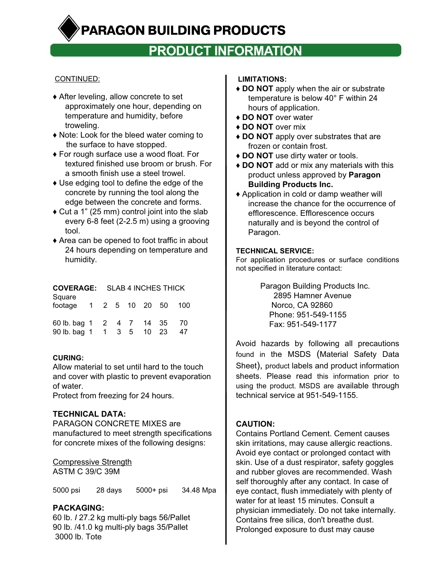PARAGON BUILDING PRODUCTS

## **PRODUCT INFORMATION**

#### CONTINUED:

- ♦ After leveling, allow concrete to set approximately one hour, depending on temperature and humidity, before troweling.
- ♦ Note: Look for the bleed water coming to the surface to have stopped.
- ♦ For rough surface use a wood float. For textured finished use broom or brush. For a smooth finish use a steel trowel.
- ♦ Use edging tool to define the edge of the concrete by running the tool along the edge between the concrete and forms.
- ♦ Cut a 1" (25 mm) control joint into the slab every 6-8 feet (2-2.5 m) using a grooving tool.
- ♦ Area can be opened to foot traffic in about 24 hours depending on temperature and humidity.

#### **COVERAGE:** SLAB 4 INCHES THICK

| Square                   |              |  |       |              |     |
|--------------------------|--------------|--|-------|--------------|-----|
| footage                  | $\mathbf{1}$ |  |       | 2 5 10 20 50 | 100 |
|                          |              |  |       |              |     |
| 60 lb. bag 1 2 4 7 14 35 |              |  |       |              | -70 |
| 90 lb. bag 1             |              |  | 1 3 5 | 10 23        | 47  |

#### **CURING:**

Allow material to set until hard to the touch and cover with plastic to prevent evaporation of water.

Protect from freezing for 24 hours.

#### **TECHNICAL DATA:**

PARAGON CONCRETE MIXES are manufactured to meet strength specifications for concrete mixes of the following designs:

Compressive Strength ASTM C 39/C 39M

5000 psi 28 days 5000+ psi 34.48 Mpa

#### **PACKAGING:**

60 lb. *I* 27.2 kg multi-ply bags 56/Pallet 90 lb. /41.0 kg multi-ply bags 35/Pallet 3000 lb. Tote

#### **LIMITATIONS:**

- ♦ **DO NOT** apply when the air or substrate temperature is below 40° F within 24 hours of application.
- ♦ **DO NOT** over water
- ♦ **DO NOT** over mix
- ♦ **DO NOT** apply over substrates that are frozen or contain frost.
- ♦ **DO NOT** use dirty water or tools.
- ♦ **DO NOT** add or mix any materials with this product unless approved by **Paragon Building Products Inc.**
- ♦ Application in cold or damp weather will increase the chance for the occurrence of efflorescence. Efflorescence occurs naturally and is beyond the control of Paragon.

#### **TECHNICAL SERVICE:**

For application procedures or surface conditions not specified in literature contact:

> Paragon Building Products Inc. 2895 Hamner Avenue Norco, CA 92860 Phone: 951-549-1155 Fax: 951-549-1177

Avoid hazards by following all precautions found in the MSDS (Material Safety Data Sheet), product labels and product information sheets. Please read this information prior to using the product. MSDS are available through technical service at 951-549-1155.

#### **CAUTION:**

Contains Portland Cement. Cement causes skin irritations, may cause allergic reactions. Avoid eye contact or prolonged contact with skin. Use of a dust respirator, safety goggles and rubber gloves are recommended. Wash self thoroughly after any contact. In case of eye contact, flush immediately with plenty of water for at least 15 minutes. Consult a physician immediately. Do not take internally. Contains free silica, don't breathe dust. Prolonged exposure to dust may cause